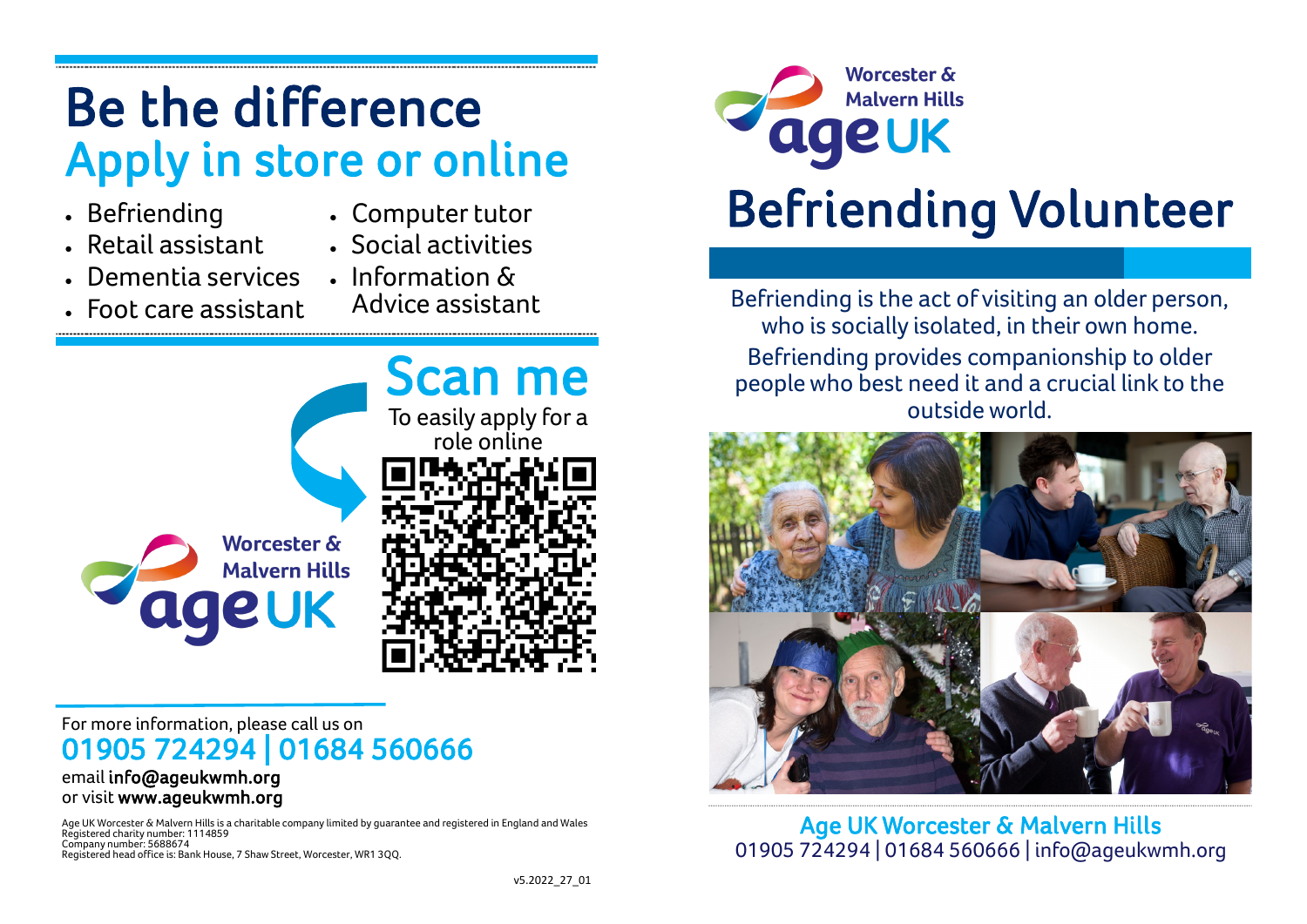## Be the difference Apply in store or online

- Befriending
- Computer tutor
- Retail assistant
- Social activities
- Dementia services
- Information & Advice assistant
- Foot care assistant



## For more information, please call us on 01905 724294 | 01684 560666

#### email info@ageukwmh.org or visit www.ageukwmh.org

Age UK Worcester & Malvern Hills is a charitable company limited by guarantee and registered in England and Wales Registered charity number: 1114859 Company number: 5688674 Registered head office is: Bank House, 7 Shaw Street, Worcester, WR1 3QQ.



# Befriending Volunteer

Befriending is the act of visiting an older person, who is socially isolated, in their own home. Befriending provides companionship to older people who best need it and a crucial link to the outside world.



Age UK Worcester & Malvern Hills 01905 724294 | 01684 560666 | info@ageukwmh.org